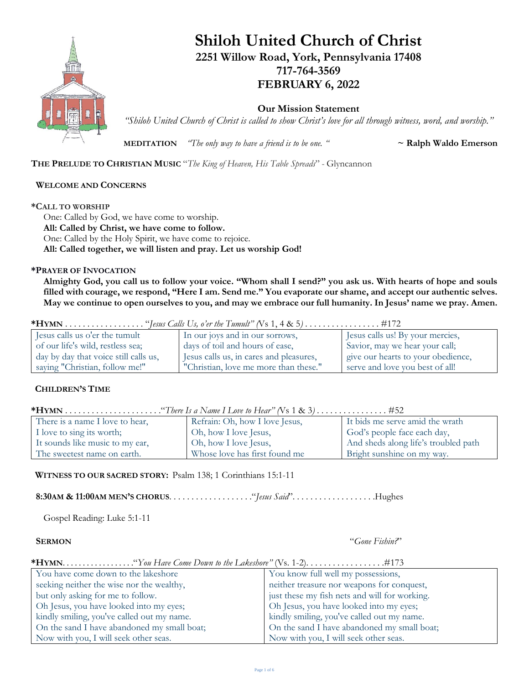

# **Shiloh United Church of Christ 2251 Willow Road, York, Pennsylvania 17408 717-764-3569**

## **FEBRUARY 6, 2022**

**Our Mission Statement**

*"Shiloh United Church of Christ is called to show Christ's love for all through witness, word, and worship."*

**MEDITATION** *The only way to have a friend is to be one.*  $\alpha$   $\alpha$  **Ralph Waldo Emerson** 

**THE PRELUDE TO CHRISTIAN MUSIC** "*The King of Heaven, His Table Spreads*" - Glyncannon

### **WELCOME AND CONCERNS**

#### **\*CALL TO WORSHIP**

One: Called by God, we have come to worship. **All: Called by Christ, we have come to follow.** One: Called by the Holy Spirit, we have come to rejoice. **All: Called together, we will listen and pray. Let us worship God!**

### **\*PRAYER OF INVOCATION**

**Almighty God, you call us to follow your voice. "Whom shall I send?" you ask us. With hearts of hope and souls filled with courage, we respond, "Here I am. Send me." You evaporate our shame, and accept our authentic selves. May we continue to open ourselves to you, and may we embrace our full humanity. In Jesus' name we pray. Amen.**

|--|--|--|

| Jesus calls us o'er the tumult        | In our joys and in our sorrows,         | Jesus calls us! By your mercies,   |
|---------------------------------------|-----------------------------------------|------------------------------------|
| of our life's wild, restless sea;     | days of toil and hours of ease,         | Savior, may we hear your call;     |
| day by day that voice still calls us, | Jesus calls us, in cares and pleasures, | give our hearts to your obedience, |
| saying "Christian, follow me!"        | "Christian, love me more than these."   | serve and love you best of all!    |

## **CHILDREN'S TIME**

| There is a name I love to hear, | Refrain: Oh, how I love Jesus, | It bids me serve amid the wrath      |  |
|---------------------------------|--------------------------------|--------------------------------------|--|
| I love to sing its worth;       | Oh, how I love Jesus,          | God's people face each day,          |  |
| It sounds like music to my ear, | Oh, how I love Jesus,          | And sheds along life's troubled path |  |
| The sweetest name on earth.     | Whose love has first found me  | Bright sunshine on my way.           |  |

### **WITNESS TO OUR SACRED STORY:** Psalm 138; 1 Corinthians 15:1-11

**8:30AM & 11:00AM MEN'S CHORUS**. . . . . . . . . . . . . . . . . . ."*Jesus Said*". . . . . . . . . . . . . . . . . . .Hughes

Gospel Reading: Luke 5:1-11

 **SERMON** "*Gone Fishin?*"

### **\*HYMN**. . . . . . . . . . . . . . . . . ."*You Have Come Down to the Lakeshore"* (Vs. 1-2). . . . . . . . . . . . . . . . . .#173

| You have come down to the lakeshore         | You know full well my possessions,            |
|---------------------------------------------|-----------------------------------------------|
| seeking neither the wise nor the wealthy,   | neither treasure nor weapons for conquest,    |
| but only asking for me to follow.           | just these my fish nets and will for working. |
| Oh Jesus, you have looked into my eyes;     | Oh Jesus, you have looked into my eyes;       |
| kindly smiling, you've called out my name.  | kindly smiling, you've called out my name.    |
| On the sand I have abandoned my small boat; | On the sand I have abandoned my small boat;   |
| Now with you, I will seek other seas.       | Now with you, I will seek other seas.         |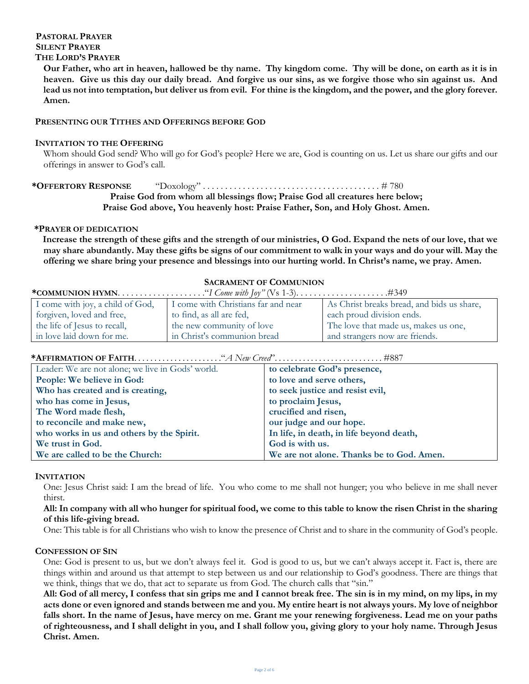#### **PASTORAL PRAYER SILENT PRAYER THE LORD'S PRAYER**

**Our Father, who art in heaven, hallowed be thy name. Thy kingdom come. Thy will be done, on earth as it is in heaven. Give us this day our daily bread. And forgive us our sins, as we forgive those who sin against us. And lead us not into temptation, but deliver us from evil. For thine is the kingdom, and the power, and the glory forever. Amen.**

### **PRESENTING OUR TITHES AND OFFERINGS BEFORE GOD**

#### **INVITATION TO THE OFFERING**

Whom should God send? Who will go for God's people? Here we are, God is counting on us. Let us share our gifts and our offerings in answer to God's call.

**\*OFFERTORY RESPONSE** "Doxology" . . . . . . . . . . . . . . . . . . . . . . . . . . . . . . . . . . . . . . . . # 780 **Praise God from whom all blessings flow; Praise God all creatures here below;**

#### **Praise God above, You heavenly host: Praise Father, Son, and Holy Ghost. Amen.**

#### **\*PRAYER OF DEDICATION**

in love laid down for me.

**Increase the strength of these gifts and the strength of our ministries, O God. Expand the nets of our love, that we may share abundantly. May these gifts be signs of our commitment to walk in your ways and do your will. May the offering we share bring your presence and blessings into our hurting world. In Christ's name, we pray. Amen.**

#### **SACRAMENT OF COMMUNION**

and strangers now are friends.

| I come with joy, a child of God, | I come with Christians far and near | As Christ breaks bread, and bids us share, |
|----------------------------------|-------------------------------------|--------------------------------------------|
| forgiven, loved and free,        | to find, as all are fed,            | each proud division ends.                  |
| the life of Jesus to recall,     | the new community of love           | The love that made us, makes us one,       |

#### **\*AFFIRMATION OF FAITH**. . . . . . . . . . . . . . . . . . . . . ."*A New Creed*". . . . . . . . . . . . . . . . . . . . . . . . . . . #887

in Christ's communion bread

| Leader: We are not alone; we live in Gods' world. | to celebrate God's presence,              |
|---------------------------------------------------|-------------------------------------------|
| People: We believe in God:                        | to love and serve others,                 |
| Who has created and is creating,                  | to seek justice and resist evil,          |
| who has come in Jesus,                            | to proclaim Jesus,                        |
| The Word made flesh,                              | crucified and risen,                      |
| to reconcile and make new,                        | our judge and our hope.                   |
| who works in us and others by the Spirit.         | In life, in death, in life beyond death,  |
| We trust in God.                                  | God is with us.                           |
| We are called to be the Church:                   | We are not alone. Thanks be to God. Amen. |

#### **INVITATION**

One: Jesus Christ said: I am the bread of life. You who come to me shall not hunger; you who believe in me shall never thirst.

#### **All: In company with all who hunger for spiritual food, we come to this table to know the risen Christ in the sharing of this life-giving bread.**

One: This table is for all Christians who wish to know the presence of Christ and to share in the community of God's people.

#### **CONFESSION OF SIN**

One: God is present to us, but we don't always feel it. God is good to us, but we can't always accept it. Fact is, there are things within and around us that attempt to step between us and our relationship to God's goodness. There are things that we think, things that we do, that act to separate us from God. The church calls that "sin."

**All: God of all mercy, I confess that sin grips me and I cannot break free. The sin is in my mind, on my lips, in my acts done or even ignored and stands between me and you. My entire heart is not always yours. My love of neighbor falls short. In the name of Jesus, have mercy on me. Grant me your renewing forgiveness. Lead me on your paths of righteousness, and I shall delight in you, and I shall follow you, giving glory to your holy name. Through Jesus Christ. Amen.**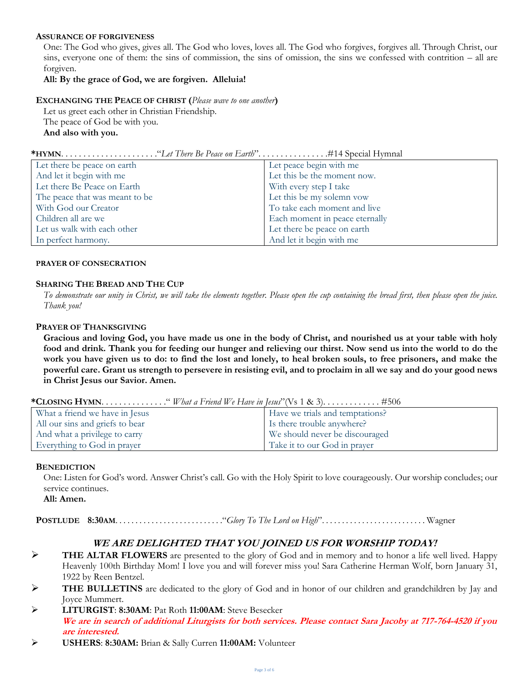#### **ASSURANCE OF FORGIVENESS**

One: The God who gives, gives all. The God who loves, loves all. The God who forgives, forgives all. Through Christ, our sins, everyone one of them: the sins of commission, the sins of omission, the sins we confessed with contrition – all are forgiven.

#### **All: By the grace of God, we are forgiven. Alleluia!**

#### **EXCHANGING THE PEACE OF CHRIST (***Please wave to one another***)**

Let us greet each other in Christian Friendship. The peace of God be with you. **And also with you.**

|--|--|--|

| Let there be peace on earth    | Let peace begin with me        |
|--------------------------------|--------------------------------|
| And let it begin with me       | Let this be the moment now.    |
| Let there Be Peace on Earth    | With every step I take         |
| The peace that was meant to be | Let this be my solemn vow      |
| With God our Creator           | To take each moment and live   |
| Children all are we            | Each moment in peace eternally |
| Let us walk with each other    | Let there be peace on earth    |
| In perfect harmony.            | And let it begin with me       |
|                                |                                |

#### **PRAYER OF CONSECRATION**

#### **SHARING THE BREAD AND THE CUP**

*To demonstrate our unity in Christ, we will take the elements together. Please open the cup containing the bread first, then please open the juice. Thank you!*

#### **PRAYER OF THANKSGIVING**

**Gracious and loving God, you have made us one in the body of Christ, and nourished us at your table with holy food and drink. Thank you for feeding our hunger and relieving our thirst. Now send us into the world to do the work you have given us to do: to find the lost and lonely, to heal broken souls, to free prisoners, and make the powerful care. Grant us strength to persevere in resisting evil, and to proclaim in all we say and do your good news in Christ Jesus our Savior. Amen.**

|--|--|--|

| What a friend we have in Jesus  | Have we trials and temptations? |
|---------------------------------|---------------------------------|
| All our sins and griefs to bear | Is there trouble anywhere?      |
| And what a privilege to carry   | We should never be discouraged  |
| Everything to God in prayer     | Take it to our God in prayer    |

#### **BENEDICTION**

One: Listen for God's word. Answer Christ's call. Go with the Holy Spirit to love courageously. Our worship concludes; our service continues.

**All: Amen.**

**POSTLUDE 8:30AM**. . . . . . . . . . . . . . . . . . . . . . . . . . ."*Glory To The Lord on High*". . . . . . . . . . . . . . . . . . . . . . . . . . Wagner

## **WE ARE DELIGHTED THAT YOU JOINED US FOR WORSHIP TODAY!**

- ➢ **THE ALTAR FLOWERS** are presented to the glory of God and in memory and to honor a life well lived. Happy Heavenly 100th Birthday Mom! I love you and will forever miss you! Sara Catherine Herman Wolf, born January 31, 1922 by Reen Bentzel.
- THE BULLETINS are dedicated to the glory of God and in honor of our children and grandchildren by Jay and Joyce Mummert.
- ➢ **LITURGIST**: **8:30AM**: Pat Roth **11:00AM**: Steve Besecker **We are in search of additional Liturgists for both services. Please contact Sara Jacoby at 717-764-4520 if you are interested.**
- ➢ **USHERS**: **8:30AM:** Brian & Sally Curren **11:00AM:** Volunteer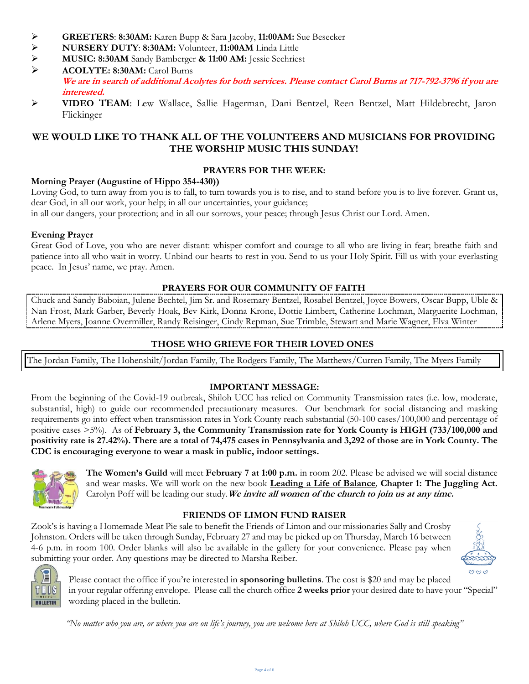- ➢ **GREETERS**: **8:30AM:** Karen Bupp & Sara Jacoby, **11:00AM:** Sue Besecker
- ➢ **NURSERY DUTY**: **8:30AM:** Volunteer, **11:00AM** Linda Little
- ➢ **MUSIC: 8:30AM** Sandy Bamberger **& 11:00 AM:** Jessie Sechriest
- ➢ **ACOLYTE: 8:30AM:** Carol Burns **We are in search of additional Acolytes for both services. Please contact Carol Burns at 717-792-3796 if you are interested.**
- ➢ **VIDEO TEAM**: Lew Wallace, Sallie Hagerman, Dani Bentzel, Reen Bentzel, Matt Hildebrecht, Jaron Flickinger

## **WE WOULD LIKE TO THANK ALL OF THE VOLUNTEERS AND MUSICIANS FOR PROVIDING THE WORSHIP MUSIC THIS SUNDAY!**

## **PRAYERS FOR THE WEEK:**

## **Morning Prayer (Augustine of Hippo 354-430))**

Loving God, to turn away from you is to fall, to turn towards you is to rise, and to stand before you is to live forever. Grant us, dear God, in all our work, your help; in all our uncertainties, your guidance;

in all our dangers, your protection; and in all our sorrows, your peace; through Jesus Christ our Lord. Amen.

### **Evening Prayer**

Great God of Love, you who are never distant: whisper comfort and courage to all who are living in fear; breathe faith and patience into all who wait in worry. Unbind our hearts to rest in you. Send to us your Holy Spirit. Fill us with your everlasting peace. In Jesus' name, we pray. Amen.

## **PRAYERS FOR OUR COMMUNITY OF FAITH**

Chuck and Sandy Baboian, Julene Bechtel, Jim Sr. and Rosemary Bentzel, Rosabel Bentzel, Joyce Bowers, Oscar Bupp, Uble & Nan Frost, Mark Garber, Beverly Hoak, Bev Kirk, Donna Krone, Dottie Limbert, Catherine Lochman, Marguerite Lochman, Arlene Myers, Joanne Overmiller, Randy Reisinger, Cindy Repman, Sue Trimble, Stewart and Marie Wagner, Elva Winter

## **THOSE WHO GRIEVE FOR THEIR LOVED ONES**

The Jordan Family, The Hohenshilt/Jordan Family, The Rodgers Family, The Matthews/Curren Family, The Myers Family

## **IMPORTANT MESSAGE:**

From the beginning of the Covid-19 outbreak, Shiloh UCC has relied on Community Transmission rates (i.e. low, moderate, substantial, high) to guide our recommended precautionary measures. Our benchmark for social distancing and masking requirements go into effect when transmission rates in York County reach substantial (50-100 cases/100,000 and percentage of positive cases >5%). As of **February 3, the Community Transmission rate for York County is HIGH (733/100,000 and positivity rate is 27.42%). There are a total of 74,475 cases in Pennsylvania and 3,292 of those are in York County. The CDC is encouraging everyone to wear a mask in public, indoor settings.**



**The Women's Guild** will meet **February 7 at 1:00 p.m.** in room 202. Please be advised we will social distance and wear masks. We will work on the new book **Leading a Life of Balance***,* **Chapter 1: The Juggling Act.** Carolyn Poff will be leading our study.**We invite all women of the church to join us at any time.**

## **FRIENDS OF LIMON FUND RAISER**

Zook's is having a Homemade Meat Pie sale to benefit the Friends of Limon and our missionaries Sally and Crosby Johnston. Orders will be taken through Sunday, February 27 and may be picked up on Thursday, March 16 between 4-6 p.m. in room 100. Order blanks will also be available in the gallery for your convenience. Please pay when submitting your order. Any questions may be directed to Marsha Reiber.





Please contact the office if you're interested in **sponsoring bulletins**. The cost is \$20 and may be placed in your regular offering envelope. Please call the church office **2 weeks prior** your desired date to have your "Special" wording placed in the bulletin.

*"No matter who you are, or where you are on life's journey, you are welcome here at Shiloh UCC, where God is still speaking"*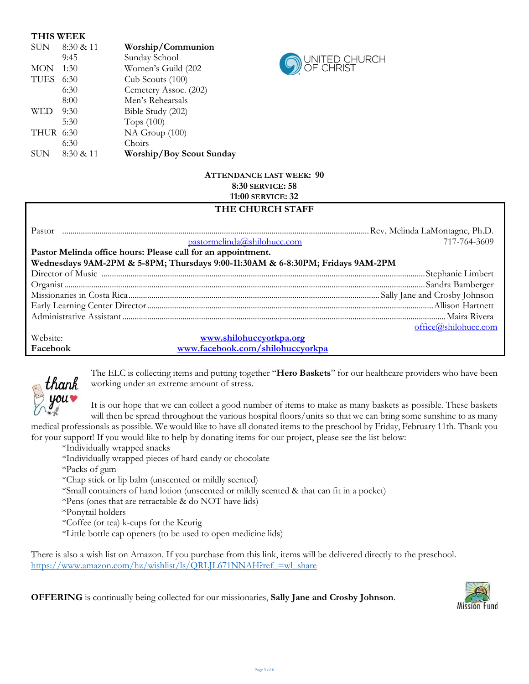| <b>THIS WEEK</b> |           |                          |
|------------------|-----------|--------------------------|
| <b>SUN</b>       | 8:30 & 11 | Worship/Communion        |
|                  | 9:45      | Sunday School            |
| <b>MON</b>       | 1:30      | Women's Guild (202       |
| <b>TUES</b>      | 6:30      | Cub Scouts (100)         |
|                  | 6:30      | Cemetery Assoc. (202)    |
|                  | 8:00      | Men's Rehearsals         |
| WED              | 9:30      | Bible Study (202)        |
|                  | 5:30      | Tops $(100)$             |
| <b>THUR 6:30</b> |           | NA Group (100)           |
|                  | 6:30      | Choirs                   |
| SUN              | 8:30 & 11 | Worship/Boy Scout Sunday |



## **ATTENDANCE LAST WEEK: 90 8:30 SERVICE: 58 11:00 SERVICE: 32**

## **THE CHURCH STAFF**

| Pastor                                                       | pastormelinda@shilohucc.com                                                    | 717-764-3609         |
|--------------------------------------------------------------|--------------------------------------------------------------------------------|----------------------|
| Pastor Melinda office hours: Please call for an appointment. |                                                                                |                      |
|                                                              | Wednesdays 9AM-2PM & 5-8PM; Thursdays 9:00-11:30AM & 6-8:30PM; Fridays 9AM-2PM |                      |
|                                                              |                                                                                |                      |
|                                                              |                                                                                |                      |
|                                                              |                                                                                |                      |
|                                                              |                                                                                |                      |
|                                                              |                                                                                |                      |
|                                                              |                                                                                | office@shilohucc.com |
| Website:                                                     | www.shilohuccyorkpa.org                                                        |                      |
| Facebook                                                     | www.facebook.com/shilohuccyorkpa                                               |                      |



The ELC is collecting items and putting together "**Hero Baskets**" for our healthcare providers who have been working under an extreme amount of stress.

It is our hope that we can collect a good number of items to make as many baskets as possible. These baskets will then be spread throughout the various hospital floors/units so that we can bring some sunshine to as many

medical professionals as possible. We would like to have all donated items to the preschool by Friday, February 11th. Thank you for your support! If you would like to help by donating items for our project, please see the list below:

- \*Individually wrapped snacks
- \*Individually wrapped pieces of hard candy or chocolate
- \*Packs of gum
- \*Chap stick or lip balm (unscented or mildly scented)
- \*Small containers of hand lotion (unscented or mildly scented & that can fit in a pocket)
- \*Pens (ones that are retractable & do NOT have lids)
- \*Ponytail holders
- \*Coffee (or tea) k-cups for the Keurig
- \*Little bottle cap openers (to be used to open medicine lids)

There is also a wish list on Amazon. If you purchase from this link, items will be delivered directly to the preschool. https://www.amazon.com/hz/wishlist/ls/QRLJL671NNAH?ref =wl\_share

**OFFERING** is continually being collected for our missionaries, **Sally Jane and Crosby Johnson**.